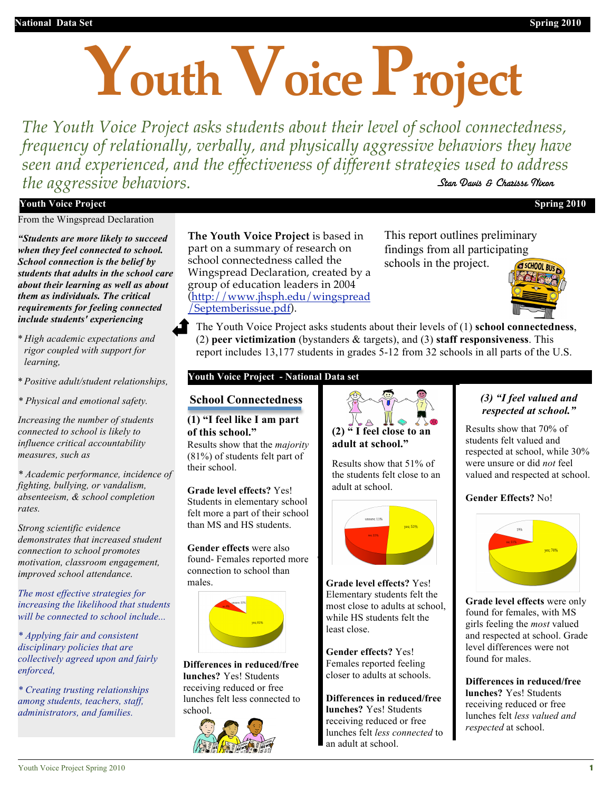# **Youth Voice Project**

*The Youth Voice Project asks students about their level of school connectedness, frequency of relationally, verbally, and physically aggressive behaviors they have seen and experienced, and the effectiveness of different strategies used to address the aggressive behaviors.* Stan Davis & Charisse Nixon

#### **Youth Voice Project Spring 2010**

From the Wingspread Declaration

*"Students are more likely to succeed when they feel connected to school. School connection is the belief by students that adults in the school care about their learning as well as about them as individuals. The critical requirements for feeling connected include students' experiencing* 

- \* *High academic expectations and rigor coupled with support for learning,*
- \**Positive adult/student relationships,*
- *\* Physical and emotional safety.*

*Increasing the number of students connected to school is likely to influence critical accountability measures, such as* 

*\* Academic performance, incidence of fighting, bullying, or vandalism, absenteeism, & school completion rates.*

*Strong scientific evidence demonstrates that increased student connection to school promotes motivation, classroom engagement, improved school attendance.*

*The most effective strategies for increasing the likelihood that students will be connected to school include...*

*\* Applying fair and consistent disciplinary policies that are collectively agreed upon and fairly enforced,*

*\* Creating trusting relationships among students, teachers, staff, administrators, and families.*

**The Youth Voice Project** is based in part on a summary of research on school connectedness called the Wingspread Declaration, created by a group of education leaders in 2004 (http://www.jhsph.edu/wingspread /Septemberissue.pdf).

This report outlines preliminary findings from all participating schools in the project.  $\sqrt{a}$  school Rug



The Youth Voice Project asks students about their levels of (1) **school connectedness**, (2) **peer victimization** (bystanders & targets), and (3) **staff responsiveness**. This report includes 13,177 students in grades 5-12 from 32 schools in all parts of the U.S.

#### **Youth Voice Project - National Data set**

# **School School Connectedness**

**Connectedness (1) "I feel like I am part**  *Students were asked to rate the following statements: (1)*  Results show that the *majority* **of this school."**

(81%) of students felt part of their school.

**Grade level effects?** Yes! Students in elementary school felt more a part of their school than MS and HS students.

**Gender effects** were also found- Females reported more connection to school than males.



**Differences in reduced/free lunches?** Yes! Students receiving reduced or free lunches felt less connected to school.





Results show that 51% of the students felt close to an adult at school.



**Grade level effects?** Yes! Elementary students felt the most close to adults at school, while HS students felt the least close.

**Gender effects?** Yes! Females reported feeling closer to adults at schools.

**Differences in reduced/free lunches?** Yes! Students receiving reduced or free lunches felt *less connected* to an adult at school.

#### *(3) "I feel valued and (3) "I feel valued and respected at school." respected at school."*

students felt valued and respected at school, while 30% respected at school (85%). were unsure or did *not* feel were distributed that  $\frac{1}{2}$  did  $\frac{1}{2}$  did  $\frac{1}{2}$  did  $\frac{1}{2}$ valued and respected at school. Results show that 70% of

#### **Gender Effects?** No!



**Grade level effects** were only found for females, with MS girls feeling the *most* valued and respected at school. Grade level differences were not found for males.

**Differences in reduced/free lunches?** Yes! Students receiving reduced or free lunches felt *less valued and respected* at school.